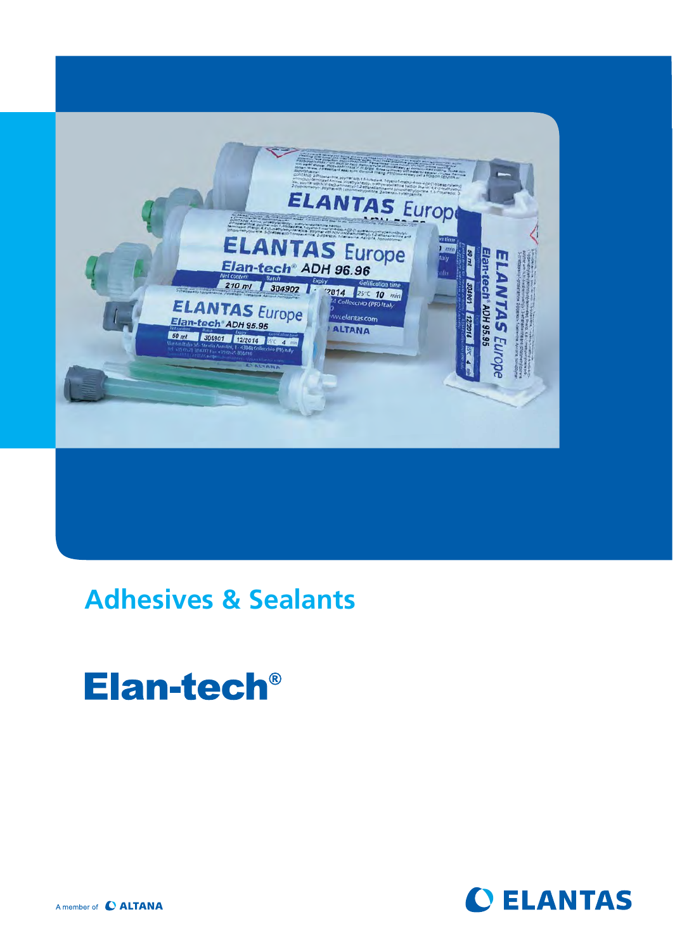

### **Adhesives & Sealants**

# Elan-tech<sup>®</sup>



A member of C ALTANA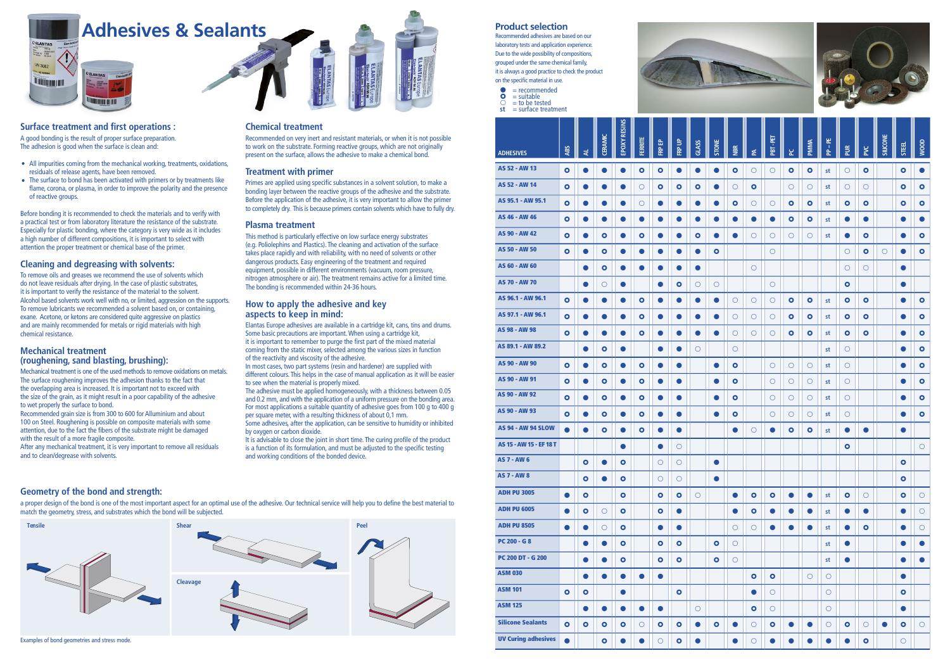**Product selection** Recommended adhesives are based on our laboratory tests and application experience. Due to the wide possibility of compositions, grouped under the same chemical family, it is always a good practice to check the product

on the specific material in use.

**st** = surface treatment





#### **Surface treatment and first operations :**

A good bonding is the result of proper surface preparation. The adhesion is good when the surface is clean and:

- All impurities coming from the mechanical working, treatments, oxidations, residuals of release agents, have been removed.
- The surface to bond has been activated with primers or by treatments like flame, corona, or plasma, in order to improve the polarity and the presence of reactive groups.

Before bonding it is recommended to check the materials and to verify with a practical test or from laboratory literature the resistance of the substrate. Especially for plastic bonding, where the category is very wide as it includes a high number of different compositions, it is important to select with attention the proper treatment or chemical base of the primer.

### **Cleaning and degreasing with solvents:**

To remove oils and greases we recommend the use of solvents which do not leave residuals after drying. In the case of plastic substrates, it is important to verify the resistance of the material to the solvent. Alcohol based solvents work well with no, or limited, aggression on the supports. To remove lubricants we recommended a solvent based on, or containing, exane. Acetone, or ketons are considered quite aggressive on plastics and are mainly recommended for metals or rigid materials with high chemical resistance.

### **Mechanical treatment (roughening, sand blasting, brushing):**

Mechanical treatment is one of the used methods to remove oxidations on metals. The surface roughening improves the adhesion thanks to the fact that the overlapping area is increased. It is important not to exceed with the size of the grain, as it might result in a poor capability of the adhesive to wet properly the surface to bond.

Recommended grain size is from 300 to 600 for Alluminium and about 100 on Steel. Roughening is possible on composite materials with some attention, due to the fact the fibers of the substrate might be damaged with the result of a more fragile composite.

After any mechanical treatment, it is very important to remove all residuals and to clean/degrease with solvents.

#### **Chemical treatment**

Recommended on very inert and resistant materials, or when it is not possible to work on the substrate. Forming reactive groups, which are not originally present on the surface, allows the adhesive to make a chemical bond.

#### **Treatment with primer**

Primes are applied using specific substances in a solvent solution, to make a bonding layer between the reactive groups of the adhesive and the substrate. Before the application of the adhesive, it is very important to allow the primer to completely dry. This is because primers contain solvents which have to fully dry.

#### **Plasma treatment**

This method is particularly effective on low surface energy substrates (e.g. Poliolephins and Plastics). The cleaning and activation of the surface takes place rapidly and with reliability, with no need of solvents or other dangerous products. Easy engineering of the treatment and required equipment, possible in different environments (vacuum, room pressure, nitrogen atmosphere or air). The treatment remains active for a limited time. The bonding is recommended within 24-36 hours.

#### **How to apply the adhesive and key aspects to keep in mind:**

Elantas Europe adhesives are available in a cartridge kit, cans, tins and drums. Some basic precautions are important. When using a cartridge kit, it is important to remember to purge the first part of the mixed material coming from the static mixer, selected among the various sizes in function of the reactivity and viscosity of the adhesive.

| <b>ADHESIVES</b>          | <b>ABS</b> | ₹               | <b>CERAMIC</b> | EPOXY RESIN | FERRITE             | FRP EP    | <b>RP UP</b> | GLASS     |           |            |            | <b>PBT</b> - PET |            | PMIMA      | 부<br>-<br>$\mathbf{a}$ |            |            | SILICO    | <b>STEEL</b> | MOOD       |            |
|---------------------------|------------|-----------------|----------------|-------------|---------------------|-----------|--------------|-----------|-----------|------------|------------|------------------|------------|------------|------------------------|------------|------------|-----------|--------------|------------|------------|
| AS 52 - AW 13             | $\bullet$  | $\bullet$       | $\bullet$      | $\bullet$   | $\bullet$           | $\bullet$ | $\bullet$    | $\bullet$ | $\bullet$ | $\bullet$  | $\circ$    | $\circ$          | $\bullet$  | $\bullet$  | st                     | $\circ$    | $\bullet$  |           | $\bullet$    | $\bullet$  |            |
| AS 52 - AW 14             | $\bullet$  | $\bullet$       | $\bullet$      | $\bullet$   | $\circ$             | $\bullet$ | $\bullet$    | $\bullet$ | $\bullet$ | $\bigcirc$ | $\bullet$  |                  | $\circ$    | $\bigcirc$ | st                     | $\bigcirc$ | $\circ$    |           | $\circ$      | $\bullet$  |            |
| AS 95.1 - AW 95.1         | $\bullet$  | $\bullet$       | $\bullet$      | $\bullet$   | $\circlearrowright$ | $\bullet$ | $\bullet$    | $\bullet$ | $\bullet$ | $\bullet$  | $\bigcirc$ | $\circ$          | $\bullet$  | $\bullet$  | st                     | $\bullet$  | $\bullet$  |           | $\bullet$    | $\bullet$  |            |
| AS 46 - AW 46             | $\bullet$  | $\bullet$       | $\bullet$      | $\bullet$   | $\bullet$           | $\bullet$ | $\bullet$    |           | $\bullet$ | $\bullet$  | $\bullet$  | $\bullet$        | $\bullet$  | $\bullet$  | st                     | $\bullet$  | $\bullet$  |           | $\bullet$    | $\bullet$  |            |
| AS 90 - AW 42             | $\bullet$  | $\bullet$       | $\bullet$      | $\bullet$   | $\bullet$           | $\bullet$ | $\bullet$    | $\bullet$ | $\bullet$ | $\bullet$  | $\circ$    | $\circ$          | $\circ$    | $\circ$    | st                     | $\bullet$  | $\bullet$  |           | $\bullet$    | $\bullet$  |            |
| AS 50 - AW 50             | $\bullet$  | $\bullet$       | $\bullet$      | $\bullet$   | $\bullet$           | $\bullet$ | $\bullet$    | $\bullet$ | $\bullet$ |            |            | $\bigcirc$       |            |            |                        | $\bigcirc$ | $\bullet$  | $\circ$   | $\bullet$    | $\bullet$  |            |
| AS 60 - AW 60             |            | $\bullet$       | $\bullet$      | $\bullet$   | $\bullet$           | $\bullet$ | $\bullet$    | $\bullet$ |           |            | $\bigcirc$ |                  |            |            |                        | $\bigcirc$ | $\circ$    |           | $\bullet$    |            |            |
| AS 70 - AW 70             |            | $\bullet$       | $\circ$        | $\bullet$   |                     | $\bullet$ | $\bullet$    | $\circ$   | $\circ$   |            |            | $\circ$          |            |            |                        | $\bullet$  |            |           | $\bullet$    |            |            |
| AS 96.1 - AW 96.1         | $\bullet$  | $\bullet$       | $\bullet$      | $\bullet$   | $\bullet$           | $\bullet$ | $\bullet$    | $\bullet$ | $\bullet$ | $\circ$    | $\circ$    | $\circ$          | $\bullet$  | $\bullet$  | st                     | $\bullet$  | $\bullet$  |           | $\bullet$    |            | $\bullet$  |
| AS 97.1 - AW 96.1         | $\bullet$  | $\bullet$       | $\bullet$      | $\bullet$   | $\bullet$           | $\bullet$ | $\bullet$    | $\bullet$ | $\bullet$ | $\circ$    | $\circ$    | $\circ$          | $\bullet$  | $\bullet$  | st                     | $\bullet$  | $\bullet$  |           | $\bullet$    |            | $\bullet$  |
| AS 98 - AW 98             | $\bullet$  | $\bullet$       | $\bullet$      | $\bullet$   | $\bullet$           | $\bullet$ | $\bullet$    | $\bullet$ | $\bullet$ | $\bigcirc$ | $\bigcirc$ | $\bigcirc$       | $\bullet$  | $\bullet$  | st                     | $\bullet$  | $\bullet$  |           | $\bullet$    |            | $\bullet$  |
| AS 89.1 - AW 89.2         |            | $\bullet$       | $\bullet$      | $\bullet$   |                     | $\bullet$ | $\bullet$    | $\circ$   |           | $\bigcirc$ |            |                  |            |            | st                     | $\bigcirc$ |            |           | $\bullet$    |            | $\bullet$  |
| AS 90 - AW 90             | $\bullet$  | $\bullet$       | $\bullet$      | $\bullet$   | $\bullet$           | $\bullet$ | $\bullet$    |           | $\bullet$ | $\bullet$  |            | $\circ$          | $\bigcirc$ | $\bigcirc$ | st                     | $\circ$    |            |           | $\bullet$    | $\bullet$  |            |
| AS 90 - AW 91             | $\bullet$  | $\bullet$       | $\bullet$      | $\bullet$   | $\bullet$           | $\bullet$ | $\bullet$    |           | $\bullet$ | $\bullet$  |            | $\circ$          | $\circ$    | $\bigcirc$ | st                     | $\circ$    |            |           | $\bullet$    | $\bullet$  |            |
| AS 90 - AW 92             | $\bullet$  | $\bullet$       | $\bullet$      | $\bullet$   | $\bullet$           | $\bullet$ | $\bullet$    |           | $\bullet$ | $\bullet$  |            | $\circ$          | $\circ$    | $\circ$    | st                     | $\circ$    |            |           | $\bullet$    |            | $\bullet$  |
| AS 90 - AW 93             | $\bullet$  | $\bullet$       | $\bullet$      | $\bullet$   | $\bullet$           | $\bullet$ | $\bullet$    |           | $\bullet$ | $\bullet$  |            | $\circ$          | $\circ$    | $\circ$    | st                     | $\bigcirc$ |            |           | $\bullet$    |            | $\bullet$  |
| <b>AS 94 - AW 94 SLOW</b> | $\bullet$  | $\bullet$       | $\bullet$      | $\bullet$   | $\bullet$           | $\bullet$ | $\bullet$    |           |           | $\bullet$  | $\circ$    | $\bullet$        | $\bullet$  | $\bullet$  | st                     | $\bullet$  | $\bullet$  |           | $\bullet$    |            |            |
| AS 15 - AW 15 - EF 18 T   |            |                 |                | $\bullet$   |                     | $\bullet$ | $\circ$      |           |           |            |            |                  |            |            |                        | $\bullet$  |            |           |              |            | $\circ$    |
| <b>AS 7 - AW 6</b>        |            | $\bullet$       | $\bullet$      | $\bullet$   |                     | $\circ$   | $\circ$      |           | $\bullet$ |            |            |                  |            |            |                        |            |            |           | $\bullet$    |            |            |
| <b>AS 7 - AW 8</b>        |            | $\circ$ $\circ$ |                | $\bullet$   |                     | $\circ$   | $\bigcirc$   |           | $\bullet$ |            |            |                  |            |            |                        |            |            |           | $\bullet$    |            |            |
| <b>ADH PU 3005</b>        | $\bullet$  | $\bullet$       |                | $\bullet$   |                     | $\bullet$ | $\bullet$    | $\circ$   |           | $\bullet$  | $\bullet$  | $\bullet$        | $\bullet$  | $\bullet$  | st                     | $\bullet$  | $\bigcirc$ |           | $\bullet$    | $\circ$    |            |
| <b>ADH PU 6005</b>        | $\bullet$  | $\bullet$       | $\bigcirc$     | $\bullet$   |                     | $\bullet$ | $\bullet$    |           |           | $\bullet$  | $\bullet$  | $\bullet$        | $\bullet$  | $\bullet$  | st                     | $\bullet$  | $\bullet$  |           | $\bullet$    | $\bigcirc$ |            |
| <b>ADH PU 8505</b>        | $\bullet$  | $\bullet$       | $\bigcirc$     | $\bullet$   |                     | $\bullet$ | $\bullet$    |           |           | $\bigcirc$ | $\circ$    | $\bullet$        | $\bullet$  | $\bullet$  | st                     | $\bullet$  | $\bullet$  |           | $\bullet$    | $\circ$    |            |
| <b>PC 200 - G 8</b>       |            | $\bullet$       | $\bullet$      | $\bullet$   |                     | $\bullet$ | $\bullet$    |           | $\bullet$ | $\bigcirc$ |            |                  |            |            | st                     | $\bullet$  |            |           | $\bullet$    | $\bullet$  |            |
| <b>PC 200 DT - G 200</b>  |            | $\bullet$       | $\bullet$      | $\bullet$   |                     | $\bullet$ | $\bullet$    |           | $\bullet$ | $\bigcirc$ |            |                  |            |            | st                     | $\bullet$  |            |           | $\bullet$    | $\bullet$  |            |
| <b>ASM 030</b>            |            | $\bullet$       | $\bullet$      | $\bullet$   | $\bullet$           | $\bullet$ |              |           |           |            | $\bullet$  | $\bullet$        |            | $\bigcirc$ | $\bigcirc$             |            |            |           | $\bullet$    |            |            |
| <b>ASM 101</b>            | $\bullet$  | $\bullet$       |                | $\bullet$   |                     |           | $\bullet$    |           |           |            | $\bullet$  | $\circ$          |            |            | $\bigcirc$             |            |            |           | $\bullet$    |            |            |
| <b>ASM 125</b>            |            | $\bullet$       | $\bullet$      | $\bullet$   | $\bullet$           | $\bullet$ |              | $\circ$   |           |            | $\bullet$  | $\circ$          |            |            | $\bigcirc$             |            |            |           | $\bullet$    |            |            |
| <b>Silicone Sealants</b>  | $\bullet$  | $\bullet$       | $\bullet$      | $\bullet$   | $\bigcirc$          | $\bullet$ | $\bullet$    | $\bullet$ | $\bullet$ | $\bullet$  | $\bigcirc$ | $\bullet$        | $\bullet$  | $\bullet$  | $\bigcirc$             | $\bullet$  | $\bigcirc$ | $\bullet$ | $\bullet$    |            | $\bigcirc$ |
|                           |            |                 |                |             |                     |           |              |           |           |            |            |                  |            |            |                        |            |            |           |              |            |            |





In most cases, two part systems (resin and hardener) are supplied with different colours. This helps in the case of manual application as it will be easier to see when the material is properly mixed.

The adhesive must be applied homogeneously, with a thickness between 0.05 and 0.2 mm, and with the application of a uniform pressure on the bonding area. For most applications a suitable quantity of adhesive goes from 100 g to 400 g per square meter, with a resulting thickness of about 0,1 mm.

Some adhesives, after the application, can be sensitive to humidity or inhibited by oxygen or carbon dioxide.

It is advisable to close the joint in short time. The curing profile of the product is a function of its formulation, and must be adjusted to the specific testing and working conditions of the bonded device.

### **Geometry of the bond and strength:**

a proper design of the bond is one of the most important aspect for an optimal use of the adhesive. Our technical service will help you to define the best material to match the geometry, stress, and substrates which the bond will be subjected.

Examples of bond geometries and stress mode.

- $\bullet$  = recommended<br> $\bullet$  = suitable  $=$  suitable
- $\overline{C}$  = to be tested<br>st = surface treat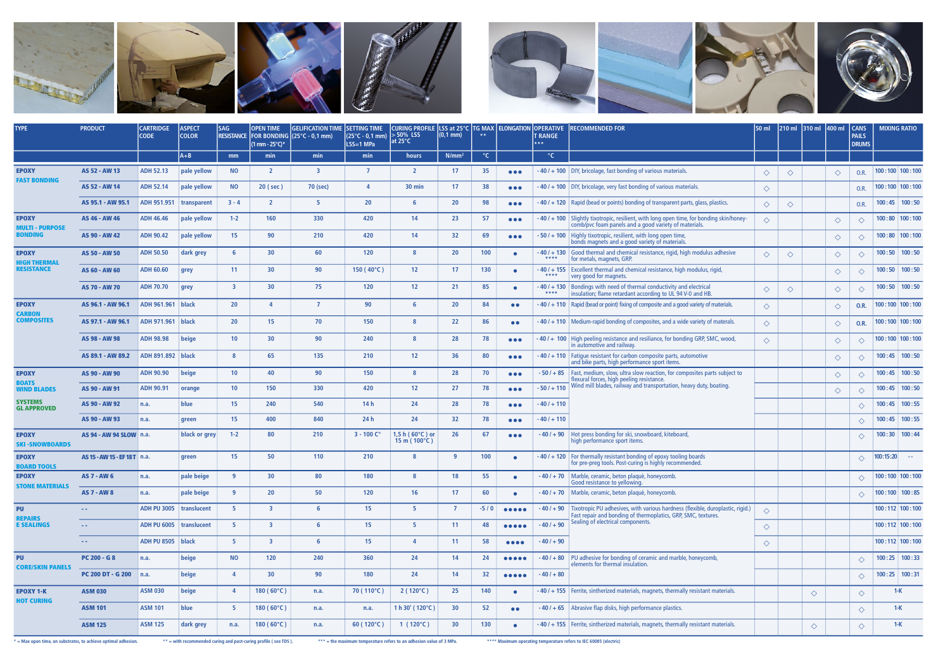

| $^{\circ}$ C<br>$^{\circ}$ C<br>$A + B$<br>min<br>N/mm <sup>2</sup><br>mm<br>min<br>min<br>hours<br>35<br>100:100:100:100<br><b>ADH 52.13</b><br>pale yellow<br><b>NO</b><br>17<br>$-40/ + 100$ DIY, bricolage, fast bonding of various materials.<br>AS 52 - AW 13<br>$\overline{2}$<br>3<br>$\overline{7}$<br>$\overline{2}$<br><b>EPOXY</b><br>$\bullet\bullet\bullet$<br>$\Diamond$<br>$\Diamond$<br>O.R.<br>♦<br><b>FAST BONDING</b><br>38<br> 100:100 100:100<br><b>ADH 52.14</b><br>pale yellow<br><b>NO</b><br>20 (sec)<br>30 min<br>17<br>$-40$ / $+100$   DIY, bricolage, very fast bonding of various materials.<br>AS 52 - AW 14<br>70 (sec)<br>$\Delta$<br>$\bullet\bullet\bullet$<br>$\Diamond$<br>O.R.<br>98<br>$100:45$ 100:50<br>ADH 951.951<br>$3 - 4$<br>5.<br>20<br>20<br>$-40/ + 120$ Rapid (bead or points) bonding of transparent parts, glass, plastics.<br>AS 95.1 - AW 95.1<br>$\overline{2}$<br>transparent<br>$\bullet\bullet\bullet$<br>$\Diamond$<br>♦<br>O.R.<br>160<br>330<br>23<br>57<br>$-40/ + 100$ Slightly tixotropic, resilient, with long open time, for bonding skin/honey-<br>$100:80$   $100:100$<br><b>EPOXY</b><br><b>ADH 46.46</b><br>pale yellow<br>$1 - 2$<br>420<br>14<br>AS 46 - AW 46<br>$\bullet\bullet\bullet$<br>$\Diamond$<br>$\Diamond$<br>♦<br>comb/pvc foam panels and a good variety of materials.<br><b>MULTI - PURPOSE</b><br>15 <sub>1</sub><br>BONDING<br><b>ADH 90.42</b><br>pale yellow<br>90<br>420<br>32<br>69<br>$100:80$   100:100<br>210<br>14<br>- 50 / + 100   Highly tixotropic, resilient, with long open time,<br>AS 90 - AW 42<br>$\bullet\bullet\bullet$<br>♦<br>$\Diamond$<br>bonds magnets and a good variety of materials.<br>$100:50$ 100:50<br><b>ADH 50.50</b><br>dark grey<br>30<br>60<br>120<br>20<br>100<br>$-40/ + 130$ Good thermal and chemical resistance, rigid, high modulus adhesive<br>AS 50 - AW 50<br>6<br><b>EPOXY</b><br>$\bullet$<br>♦<br>$\Diamond$<br>♦<br>♦<br>****<br>for metals, magnets, GRP.<br><b>HIGH THERMAL</b><br><b>RESISTANCE</b><br>11<br>30<br>90<br>130<br>$100:50$ 100:50<br><b>ADH 60.60</b><br>150 ( $40^{\circ}$ C)<br>12 <sup>2</sup><br>17<br>$-40/ + 155$ Excellent thermal and chemical resistance, high modulus, rigid,<br>AS 60 - AW 60<br>grey<br>$\bullet$<br>$\Diamond$<br>♦<br>****<br>very good for magnets.<br>$100:50$ 100:50<br><b>ADH 70.70</b><br>$\overline{\mathbf{3}}$<br>30<br>75<br>120<br>12 <sup>2</sup><br>21<br>85<br>$-40/ + 130$<br>Bondings with need of thermal conductivity and electrical<br>AS 70 - AW 70<br>grey<br>$\bullet$<br>$\Diamond$<br>♦<br>♦<br>♦<br>****<br>insulation; flame retardant according to UL 94 V-0 and HB.<br><b>ADH 961.961</b><br><b>black</b><br>20<br>90<br>20<br>84<br>$-40/ + 110$ Rapid (bead or point) fixing of composite and a good variety of materials.<br>100:100:100:100<br><b>EPOXY</b><br>AS 96.1 - AW 96.1<br>$\Delta$<br>$\overline{7}$<br>$\bullet\bullet$<br>$\Diamond$<br>O.R.<br>♦<br><b>CARBON</b><br><b>COMPOSITES</b><br>black<br>20<br>15 <sub>1</sub><br>70<br>150<br>22<br>86<br>$100:100$ 100:100<br>AS 97.1 - AW 96.1<br><b>ADH 971.961</b><br>$-40/ + 110$ Medium-rapid bonding of composites, and a wide variety of materals.<br>$\Diamond$<br>$\bullet$<br>0.R.<br>$\Diamond$<br>$100:100$ 100:100<br>beige<br>-40 / + 100   High peeling resistance and resiliance, for bonding GRP, SMC, wood,<br><b>ADH 98.98</b><br>10 <sup>°</sup><br>30<br>90<br>240<br>28<br>78<br>AS 98 - AW 98<br>$\bullet\bullet\bullet$<br>$\Diamond$<br>♦<br>♦<br>in automotive and railway.<br>$100:45$ 100:50<br>ADH 891.892   black<br>65<br>135<br>210<br>12<br>36<br>80<br>$-40/ + 110$ Fatigue resistant for carbon composite parts, automotive<br>AS 89.1 - AW 89.2<br>8<br>$\bullet\bullet\bullet$<br>$\Diamond$<br>♦<br>and bike parts, high performance sport items.<br>$100:45$ 100:50<br><b>ADH 90.90</b><br>beige<br>10 <sub>1</sub><br>40<br>90<br>150<br>28<br>70<br>Fast, medium, slow, ultra slow reaction, for composites parts subject to<br><b>EPOXY</b><br>AS 90 - AW 90<br>8<br>$-50/ + 85$<br>$\bullet\bullet\bullet$<br>♦<br>♦<br>flexural forces, high peeling resistance.<br><b>BOATS</b><br>Wind mill blades, railway and transportation, heavy duty, boating.<br>$-50/ + 110$<br>10 <sub>1</sub><br>27<br>78<br>$100:45$ 100:50<br><b>ADH 90.91</b><br>150<br>330<br>420<br>12 <sup>2</sup><br>AS 90 - AW 91<br>orange<br><b>WIND BLADES</b><br>$\bullet\bullet\bullet$<br>♦<br>$\Diamond$<br><b>SYSTEMS</b><br>blue<br>15 <sub>1</sub><br>28<br>78<br>$100:45$ 100:55<br>240<br>540<br>14 <sub>h</sub><br>24<br>$-40/ + 110$<br>AS 90 - AW 92<br>n.a.<br>$\bullet\bullet\bullet$<br>$\Diamond$<br><b>GL APPROVED</b><br>32<br>78<br>$100:45$ 100:55<br>15 <sub>1</sub><br>400<br>840<br>24 <sub>h</sub><br>24<br>$-40/ + 110$<br>AS 90 - AW 93<br>n.a.<br>green<br>$\bullet\bullet\bullet$<br>$\Diamond$<br>$100:30$ 100:44<br>$1,5 h (60°C)$ or<br>black or grey<br>$1 - 2$<br>80<br>210<br>$3 - 100 C^{\circ}$<br>26<br>67<br>$-40/ + 90$<br>Hot press bonding for ski, snowboard, kiteboard,<br><b>EPOXY</b><br>AS 94 - AW 94 SLOW   n.a.<br>$\bullet\bullet\bullet$<br>♦<br>$15 \text{ m} (100^{\circ}C)$<br>high performance sport items.<br><b>SKI-SNOWBOARDS</b><br>15 <sub>1</sub><br>50<br>100<br> 100:15:20 <br>110<br>210<br>$-40/ + 120$ For thermally resistant bonding of epoxy tooling boards<br>AS 15 - AW 15 - EF 18 T   n.a.<br>9<br><b>EPOXY</b><br>green<br>$\Diamond$<br>$\bullet$<br>for pre-preg tools. Post-curing is highly recommended.<br><b>BOARD TOOLS</b><br>55<br> 100:100 100:100<br>pale beige<br><b>q</b><br>30<br>80<br>180<br>18<br>-40 / +70   Marble, ceramic, beton plaquè, honeycomb.<br><b>EPOXY</b><br><b>AS 7 - AW 6</b><br>n.a.<br>$\Diamond$<br>Good resistance to yellowing.<br><b>STONE MATERIALS</b><br>50<br>60<br>$ 100:100 $ 100:85<br><b>AS 7 - AW 8</b><br>pale beige<br><b>q</b><br>20<br>120<br>16 <sup>2</sup><br>17<br>$-40/ + 70$ Marble, ceramic, beton plaquè, honeycomb<br>n.a.<br>$\bullet$<br>$\Diamond$<br>ADH PU 3005   translucent<br>5 <sup>2</sup><br>-40/+90 $\vert$ Tixotropic PU adhesives, with various hardness (flexible, duroplastic, rigid.)<br>$100:112$ 100:100<br><b>PU</b><br>$\overline{\mathbf{3}}$<br>15 <sub>1</sub><br>5 <sub>1</sub><br>$\overline{7}$<br>$-5/0$<br>6<br>$\Diamond$<br>$\begin{array}{cccccccccccccc} \bullet & \bullet & \bullet & \bullet & \bullet & \bullet & \bullet \end{array}$<br>- -<br>Fast repair and bonding of thermoplatics, GRP, SMC, textures.<br>Sealing of electrical components.<br><b>REPAIRS</b><br>$-40/ + 90$<br>$100:112$ $100:100$<br><b>E SEALINGS</b><br>ADH PU 6005   translucent<br>5 <sup>2</sup><br>15 <sub>1</sub><br>5 <sup>2</sup><br>11<br>48<br>$\overline{\mathbf{3}}$<br>6<br>00000<br>$\sim 100$<br>$\Diamond$<br>ADH PU 8505   black<br>5 <sub>1</sub><br>58<br>$-40/ + 90$<br>$100:112$ 100:100<br>$\overline{\mathbf{3}}$<br>6<br>15 <sub>15</sub><br>11<br>4<br>$\bullet\bullet\bullet\bullet$<br>$\Diamond$<br>$\sim$ $\sim$<br>$-40$ / $+80$ PU adhesive for bonding of ceramic and marble, honeycomb,<br>$100:25$ 100:33<br><b>PU</b><br>beige<br><b>NO</b><br>120<br>240<br>360<br>24<br>14<br>24<br><b>PC 200 - G 8</b><br>n.a.<br>00000<br>$\Diamond$<br>elements for thermal insulation.<br><b>CORE/SKIN PANELS</b><br>90<br>$-40/ + 80$<br>$100:25$ 100:31<br><b>PC 200 DT - G 200</b><br>beige<br>30<br>180<br>24<br>14<br>32<br>$\overline{a}$<br>n.a.<br>00000<br>$\Diamond$<br>25<br>140<br><b>ASM 030</b><br>beige<br>$180(60^{\circ}C)$<br>70 (110°C)<br>$2(120^{\circ}C)$<br>$-40/$ + 155 Ferrite, sintherized materials, magnets, thermally resistant materials.<br>$1-K$<br><b>EPOXY 1-K</b><br><b>ASM 030</b><br>n.a.<br>$\bullet$<br>$\Diamond$<br>$\Diamond$<br><b>HOT CURING</b><br>blue<br>30<br>$180(60^{\circ}C)$<br>1 h 30' ( $120^{\circ}$ C)<br>52<br>$-40$ / $+65$ Abrasive flap disks, high performance plastics.<br><b>ASM 101</b><br>-5<br>$1-K$<br><b>ASM 101</b><br>n.a.<br>n.a.<br>$\bullet\bullet$<br>$\Diamond$<br>180 (60°C)<br>30<br>130<br><b>ASM 125</b><br>$60(120^{\circ}C)$<br>1 ( $120^{\circ}$ C)<br>$-40/$ + 155   Ferrite, sintherized materials, magnets, thermally resistant materials.<br><b>ASM 125</b><br>$1-K$<br>n.a.<br>n.a.<br>$\bullet$ | <b>TYPE</b> | <b>PRODUCT</b> | <b>CARTRIDGE</b><br><b>CODE</b> | <b>ASPECT</b><br><b>COLOR</b> | <b>SAG</b> | <b>OPEN TIME</b><br>$(1 \text{ mm} - 25^{\circ} \text{C})^*$ | <b>GELIFICATION TIME</b><br>RESISTANCE   FOR BONDING (25°C - 0,1 mm) | <b>SETTING TIME</b><br>$(25^{\circ}C - 0, 1 \text{ mm})$ > 50% LSS<br>$LSS=1$ MPa | CURING PROFILE LSS at 25°C  TG MAX   ELONGATION   OPERATIVE<br>at 25 $\degree$ C | $(0,1 \text{ mm})$ | $* *$ | <b>RECOMMENDED FOR</b><br><b>T RANGE</b><br>*** | 150 ml | $ 210 \text{ ml}$ 310 ml 400 ml |            | <b>CANS</b><br><b>PAILS</b><br><b>DRUMS</b> | <b>MIXING RATIO</b> |
|---------------------------------------------------------------------------------------------------------------------------------------------------------------------------------------------------------------------------------------------------------------------------------------------------------------------------------------------------------------------------------------------------------------------------------------------------------------------------------------------------------------------------------------------------------------------------------------------------------------------------------------------------------------------------------------------------------------------------------------------------------------------------------------------------------------------------------------------------------------------------------------------------------------------------------------------------------------------------------------------------------------------------------------------------------------------------------------------------------------------------------------------------------------------------------------------------------------------------------------------------------------------------------------------------------------------------------------------------------------------------------------------------------------------------------------------------------------------------------------------------------------------------------------------------------------------------------------------------------------------------------------------------------------------------------------------------------------------------------------------------------------------------------------------------------------------------------------------------------------------------------------------------------------------------------------------------------------------------------------------------------------------------------------------------------------------------------------------------------------------------------------------------------------------------------------------------------------------------------------------------------------------------------------------------------------------------------------------------------------------------------------------------------------------------------------------------------------------------------------------------------------------------------------------------------------------------------------------------------------------------------------------------------------------------------------------------------------------------------------------------------------------------------------------------------------------------------------------------------------------------------------------------------------------------------------------------------------------------------------------------------------------------------------------------------------------------------------------------------------------------------------------------------------------------------------------------------------------------------------------------------------------------------------------------------------------------------------------------------------------------------------------------------------------------------------------------------------------------------------------------------------------------------------------------------------------------------------------------------------------------------------------------------------------------------------------------------------------------------------------------------------------------------------------------------------------------------------------------------------------------------------------------------------------------------------------------------------------------------------------------------------------------------------------------------------------------------------------------------------------------------------------------------------------------------------------------------------------------------------------------------------------------------------------------------------------------------------------------------------------------------------------------------------------------------------------------------------------------------------------------------------------------------------------------------------------------------------------------------------------------------------------------------------------------------------------------------------------------------------------------------------------------------------------------------------------------------------------------------------------------------------------------------------------------------------------------------------------------------------------------------------------------------------------------------------------------------------------------------------------------------------------------------------------------------------------------------------------------------------------------------------------------------------------------------------------------------------------------------------------------------------------------------------------------------------------------------------------------------------------------------------------------------------------------------------------------------------------------------------------------------------------------------------------------------------------------------------------------------------------------------------------------------------------------------------------------------------------------------------------------------------------------------------------------------------------------------------------------------------------------------------------------------------------------------------------------------------------------------------------------------------------------------------------------------------------------------------------------------------------------------------------------------------------------------------------------------------------------------------------------------------------------------------------------------------------------------------------------------------------------------------------------------------------------------------------------------------------------------------------------------------------------------------------------------------------------------------------------------------------------------------------------------------------------------------------------------------------------------------------------------------------------------------------------------------------------------------------------------------------------------------------------------------------------------------------------------------------------------------------------------------------------------------------------------------------------------------------------------------------------------------------------------------------------------------------------------------------------------------------------------------------------------------------------------------------------------------------------------------------------------------------------------------------------------------------------------------------------------------------------------------------------------------------------------------------------------------------------------------------------------------------------------------------------------------------------------------------------------------------------------------------------------------------------------------------------------------------------------------------------------------------------------------------------------------------------------------------------------------------------------------------------------------------------------------------------------------------------------------------------------------------------------------------------------------------------------------------------------------------------|-------------|----------------|---------------------------------|-------------------------------|------------|--------------------------------------------------------------|----------------------------------------------------------------------|-----------------------------------------------------------------------------------|----------------------------------------------------------------------------------|--------------------|-------|-------------------------------------------------|--------|---------------------------------|------------|---------------------------------------------|---------------------|
|                                                                                                                                                                                                                                                                                                                                                                                                                                                                                                                                                                                                                                                                                                                                                                                                                                                                                                                                                                                                                                                                                                                                                                                                                                                                                                                                                                                                                                                                                                                                                                                                                                                                                                                                                                                                                                                                                                                                                                                                                                                                                                                                                                                                                                                                                                                                                                                                                                                                                                                                                                                                                                                                                                                                                                                                                                                                                                                                                                                                                                                                                                                                                                                                                                                                                                                                                                                                                                                                                                                                                                                                                                                                                                                                                                                                                                                                                                                                                                                                                                                                                                                                                                                                                                                                                                                                                                                                                                                                                                                                                                                                                                                                                                                                                                                                                                                                                                                                                                                                                                                                                                                                                                                                                                                                                                                                                                                                                                                                                                                                                                                                                                                                                                                                                                                                                                                                                                                                                                                                                                                                                                                                                                                                                                                                                                                                                                                                                                                                                                                                                                                                                                                                                                                                                                                                                                                                                                                                                                                                                                                                                                                                                                                                                                                                                                                                                                                                                                                                                                                                                                                                                                                                                                                                                                                                                                                                                                                                                                                                                                                                                                                                                                                                                                                                                                                                                                           |             |                |                                 |                               |            |                                                              |                                                                      |                                                                                   |                                                                                  |                    |       |                                                 |        |                                 |            |                                             |                     |
|                                                                                                                                                                                                                                                                                                                                                                                                                                                                                                                                                                                                                                                                                                                                                                                                                                                                                                                                                                                                                                                                                                                                                                                                                                                                                                                                                                                                                                                                                                                                                                                                                                                                                                                                                                                                                                                                                                                                                                                                                                                                                                                                                                                                                                                                                                                                                                                                                                                                                                                                                                                                                                                                                                                                                                                                                                                                                                                                                                                                                                                                                                                                                                                                                                                                                                                                                                                                                                                                                                                                                                                                                                                                                                                                                                                                                                                                                                                                                                                                                                                                                                                                                                                                                                                                                                                                                                                                                                                                                                                                                                                                                                                                                                                                                                                                                                                                                                                                                                                                                                                                                                                                                                                                                                                                                                                                                                                                                                                                                                                                                                                                                                                                                                                                                                                                                                                                                                                                                                                                                                                                                                                                                                                                                                                                                                                                                                                                                                                                                                                                                                                                                                                                                                                                                                                                                                                                                                                                                                                                                                                                                                                                                                                                                                                                                                                                                                                                                                                                                                                                                                                                                                                                                                                                                                                                                                                                                                                                                                                                                                                                                                                                                                                                                                                                                                                                                                           |             |                |                                 |                               |            |                                                              |                                                                      |                                                                                   |                                                                                  |                    |       |                                                 |        |                                 |            |                                             |                     |
|                                                                                                                                                                                                                                                                                                                                                                                                                                                                                                                                                                                                                                                                                                                                                                                                                                                                                                                                                                                                                                                                                                                                                                                                                                                                                                                                                                                                                                                                                                                                                                                                                                                                                                                                                                                                                                                                                                                                                                                                                                                                                                                                                                                                                                                                                                                                                                                                                                                                                                                                                                                                                                                                                                                                                                                                                                                                                                                                                                                                                                                                                                                                                                                                                                                                                                                                                                                                                                                                                                                                                                                                                                                                                                                                                                                                                                                                                                                                                                                                                                                                                                                                                                                                                                                                                                                                                                                                                                                                                                                                                                                                                                                                                                                                                                                                                                                                                                                                                                                                                                                                                                                                                                                                                                                                                                                                                                                                                                                                                                                                                                                                                                                                                                                                                                                                                                                                                                                                                                                                                                                                                                                                                                                                                                                                                                                                                                                                                                                                                                                                                                                                                                                                                                                                                                                                                                                                                                                                                                                                                                                                                                                                                                                                                                                                                                                                                                                                                                                                                                                                                                                                                                                                                                                                                                                                                                                                                                                                                                                                                                                                                                                                                                                                                                                                                                                                                                           |             |                |                                 |                               |            |                                                              |                                                                      |                                                                                   |                                                                                  |                    |       |                                                 |        |                                 |            |                                             |                     |
|                                                                                                                                                                                                                                                                                                                                                                                                                                                                                                                                                                                                                                                                                                                                                                                                                                                                                                                                                                                                                                                                                                                                                                                                                                                                                                                                                                                                                                                                                                                                                                                                                                                                                                                                                                                                                                                                                                                                                                                                                                                                                                                                                                                                                                                                                                                                                                                                                                                                                                                                                                                                                                                                                                                                                                                                                                                                                                                                                                                                                                                                                                                                                                                                                                                                                                                                                                                                                                                                                                                                                                                                                                                                                                                                                                                                                                                                                                                                                                                                                                                                                                                                                                                                                                                                                                                                                                                                                                                                                                                                                                                                                                                                                                                                                                                                                                                                                                                                                                                                                                                                                                                                                                                                                                                                                                                                                                                                                                                                                                                                                                                                                                                                                                                                                                                                                                                                                                                                                                                                                                                                                                                                                                                                                                                                                                                                                                                                                                                                                                                                                                                                                                                                                                                                                                                                                                                                                                                                                                                                                                                                                                                                                                                                                                                                                                                                                                                                                                                                                                                                                                                                                                                                                                                                                                                                                                                                                                                                                                                                                                                                                                                                                                                                                                                                                                                                                                           |             |                |                                 |                               |            |                                                              |                                                                      |                                                                                   |                                                                                  |                    |       |                                                 |        |                                 |            |                                             |                     |
|                                                                                                                                                                                                                                                                                                                                                                                                                                                                                                                                                                                                                                                                                                                                                                                                                                                                                                                                                                                                                                                                                                                                                                                                                                                                                                                                                                                                                                                                                                                                                                                                                                                                                                                                                                                                                                                                                                                                                                                                                                                                                                                                                                                                                                                                                                                                                                                                                                                                                                                                                                                                                                                                                                                                                                                                                                                                                                                                                                                                                                                                                                                                                                                                                                                                                                                                                                                                                                                                                                                                                                                                                                                                                                                                                                                                                                                                                                                                                                                                                                                                                                                                                                                                                                                                                                                                                                                                                                                                                                                                                                                                                                                                                                                                                                                                                                                                                                                                                                                                                                                                                                                                                                                                                                                                                                                                                                                                                                                                                                                                                                                                                                                                                                                                                                                                                                                                                                                                                                                                                                                                                                                                                                                                                                                                                                                                                                                                                                                                                                                                                                                                                                                                                                                                                                                                                                                                                                                                                                                                                                                                                                                                                                                                                                                                                                                                                                                                                                                                                                                                                                                                                                                                                                                                                                                                                                                                                                                                                                                                                                                                                                                                                                                                                                                                                                                                                                           |             |                |                                 |                               |            |                                                              |                                                                      |                                                                                   |                                                                                  |                    |       |                                                 |        |                                 |            |                                             |                     |
|                                                                                                                                                                                                                                                                                                                                                                                                                                                                                                                                                                                                                                                                                                                                                                                                                                                                                                                                                                                                                                                                                                                                                                                                                                                                                                                                                                                                                                                                                                                                                                                                                                                                                                                                                                                                                                                                                                                                                                                                                                                                                                                                                                                                                                                                                                                                                                                                                                                                                                                                                                                                                                                                                                                                                                                                                                                                                                                                                                                                                                                                                                                                                                                                                                                                                                                                                                                                                                                                                                                                                                                                                                                                                                                                                                                                                                                                                                                                                                                                                                                                                                                                                                                                                                                                                                                                                                                                                                                                                                                                                                                                                                                                                                                                                                                                                                                                                                                                                                                                                                                                                                                                                                                                                                                                                                                                                                                                                                                                                                                                                                                                                                                                                                                                                                                                                                                                                                                                                                                                                                                                                                                                                                                                                                                                                                                                                                                                                                                                                                                                                                                                                                                                                                                                                                                                                                                                                                                                                                                                                                                                                                                                                                                                                                                                                                                                                                                                                                                                                                                                                                                                                                                                                                                                                                                                                                                                                                                                                                                                                                                                                                                                                                                                                                                                                                                                                                           |             |                |                                 |                               |            |                                                              |                                                                      |                                                                                   |                                                                                  |                    |       |                                                 |        |                                 |            |                                             |                     |
|                                                                                                                                                                                                                                                                                                                                                                                                                                                                                                                                                                                                                                                                                                                                                                                                                                                                                                                                                                                                                                                                                                                                                                                                                                                                                                                                                                                                                                                                                                                                                                                                                                                                                                                                                                                                                                                                                                                                                                                                                                                                                                                                                                                                                                                                                                                                                                                                                                                                                                                                                                                                                                                                                                                                                                                                                                                                                                                                                                                                                                                                                                                                                                                                                                                                                                                                                                                                                                                                                                                                                                                                                                                                                                                                                                                                                                                                                                                                                                                                                                                                                                                                                                                                                                                                                                                                                                                                                                                                                                                                                                                                                                                                                                                                                                                                                                                                                                                                                                                                                                                                                                                                                                                                                                                                                                                                                                                                                                                                                                                                                                                                                                                                                                                                                                                                                                                                                                                                                                                                                                                                                                                                                                                                                                                                                                                                                                                                                                                                                                                                                                                                                                                                                                                                                                                                                                                                                                                                                                                                                                                                                                                                                                                                                                                                                                                                                                                                                                                                                                                                                                                                                                                                                                                                                                                                                                                                                                                                                                                                                                                                                                                                                                                                                                                                                                                                                                           |             |                |                                 |                               |            |                                                              |                                                                      |                                                                                   |                                                                                  |                    |       |                                                 |        |                                 |            |                                             |                     |
|                                                                                                                                                                                                                                                                                                                                                                                                                                                                                                                                                                                                                                                                                                                                                                                                                                                                                                                                                                                                                                                                                                                                                                                                                                                                                                                                                                                                                                                                                                                                                                                                                                                                                                                                                                                                                                                                                                                                                                                                                                                                                                                                                                                                                                                                                                                                                                                                                                                                                                                                                                                                                                                                                                                                                                                                                                                                                                                                                                                                                                                                                                                                                                                                                                                                                                                                                                                                                                                                                                                                                                                                                                                                                                                                                                                                                                                                                                                                                                                                                                                                                                                                                                                                                                                                                                                                                                                                                                                                                                                                                                                                                                                                                                                                                                                                                                                                                                                                                                                                                                                                                                                                                                                                                                                                                                                                                                                                                                                                                                                                                                                                                                                                                                                                                                                                                                                                                                                                                                                                                                                                                                                                                                                                                                                                                                                                                                                                                                                                                                                                                                                                                                                                                                                                                                                                                                                                                                                                                                                                                                                                                                                                                                                                                                                                                                                                                                                                                                                                                                                                                                                                                                                                                                                                                                                                                                                                                                                                                                                                                                                                                                                                                                                                                                                                                                                                                                           |             |                |                                 |                               |            |                                                              |                                                                      |                                                                                   |                                                                                  |                    |       |                                                 |        |                                 |            |                                             |                     |
|                                                                                                                                                                                                                                                                                                                                                                                                                                                                                                                                                                                                                                                                                                                                                                                                                                                                                                                                                                                                                                                                                                                                                                                                                                                                                                                                                                                                                                                                                                                                                                                                                                                                                                                                                                                                                                                                                                                                                                                                                                                                                                                                                                                                                                                                                                                                                                                                                                                                                                                                                                                                                                                                                                                                                                                                                                                                                                                                                                                                                                                                                                                                                                                                                                                                                                                                                                                                                                                                                                                                                                                                                                                                                                                                                                                                                                                                                                                                                                                                                                                                                                                                                                                                                                                                                                                                                                                                                                                                                                                                                                                                                                                                                                                                                                                                                                                                                                                                                                                                                                                                                                                                                                                                                                                                                                                                                                                                                                                                                                                                                                                                                                                                                                                                                                                                                                                                                                                                                                                                                                                                                                                                                                                                                                                                                                                                                                                                                                                                                                                                                                                                                                                                                                                                                                                                                                                                                                                                                                                                                                                                                                                                                                                                                                                                                                                                                                                                                                                                                                                                                                                                                                                                                                                                                                                                                                                                                                                                                                                                                                                                                                                                                                                                                                                                                                                                                                           |             |                |                                 |                               |            |                                                              |                                                                      |                                                                                   |                                                                                  |                    |       |                                                 |        |                                 |            |                                             |                     |
|                                                                                                                                                                                                                                                                                                                                                                                                                                                                                                                                                                                                                                                                                                                                                                                                                                                                                                                                                                                                                                                                                                                                                                                                                                                                                                                                                                                                                                                                                                                                                                                                                                                                                                                                                                                                                                                                                                                                                                                                                                                                                                                                                                                                                                                                                                                                                                                                                                                                                                                                                                                                                                                                                                                                                                                                                                                                                                                                                                                                                                                                                                                                                                                                                                                                                                                                                                                                                                                                                                                                                                                                                                                                                                                                                                                                                                                                                                                                                                                                                                                                                                                                                                                                                                                                                                                                                                                                                                                                                                                                                                                                                                                                                                                                                                                                                                                                                                                                                                                                                                                                                                                                                                                                                                                                                                                                                                                                                                                                                                                                                                                                                                                                                                                                                                                                                                                                                                                                                                                                                                                                                                                                                                                                                                                                                                                                                                                                                                                                                                                                                                                                                                                                                                                                                                                                                                                                                                                                                                                                                                                                                                                                                                                                                                                                                                                                                                                                                                                                                                                                                                                                                                                                                                                                                                                                                                                                                                                                                                                                                                                                                                                                                                                                                                                                                                                                                                           |             |                |                                 |                               |            |                                                              |                                                                      |                                                                                   |                                                                                  |                    |       |                                                 |        |                                 |            |                                             |                     |
|                                                                                                                                                                                                                                                                                                                                                                                                                                                                                                                                                                                                                                                                                                                                                                                                                                                                                                                                                                                                                                                                                                                                                                                                                                                                                                                                                                                                                                                                                                                                                                                                                                                                                                                                                                                                                                                                                                                                                                                                                                                                                                                                                                                                                                                                                                                                                                                                                                                                                                                                                                                                                                                                                                                                                                                                                                                                                                                                                                                                                                                                                                                                                                                                                                                                                                                                                                                                                                                                                                                                                                                                                                                                                                                                                                                                                                                                                                                                                                                                                                                                                                                                                                                                                                                                                                                                                                                                                                                                                                                                                                                                                                                                                                                                                                                                                                                                                                                                                                                                                                                                                                                                                                                                                                                                                                                                                                                                                                                                                                                                                                                                                                                                                                                                                                                                                                                                                                                                                                                                                                                                                                                                                                                                                                                                                                                                                                                                                                                                                                                                                                                                                                                                                                                                                                                                                                                                                                                                                                                                                                                                                                                                                                                                                                                                                                                                                                                                                                                                                                                                                                                                                                                                                                                                                                                                                                                                                                                                                                                                                                                                                                                                                                                                                                                                                                                                                                           |             |                |                                 |                               |            |                                                              |                                                                      |                                                                                   |                                                                                  |                    |       |                                                 |        |                                 |            |                                             |                     |
|                                                                                                                                                                                                                                                                                                                                                                                                                                                                                                                                                                                                                                                                                                                                                                                                                                                                                                                                                                                                                                                                                                                                                                                                                                                                                                                                                                                                                                                                                                                                                                                                                                                                                                                                                                                                                                                                                                                                                                                                                                                                                                                                                                                                                                                                                                                                                                                                                                                                                                                                                                                                                                                                                                                                                                                                                                                                                                                                                                                                                                                                                                                                                                                                                                                                                                                                                                                                                                                                                                                                                                                                                                                                                                                                                                                                                                                                                                                                                                                                                                                                                                                                                                                                                                                                                                                                                                                                                                                                                                                                                                                                                                                                                                                                                                                                                                                                                                                                                                                                                                                                                                                                                                                                                                                                                                                                                                                                                                                                                                                                                                                                                                                                                                                                                                                                                                                                                                                                                                                                                                                                                                                                                                                                                                                                                                                                                                                                                                                                                                                                                                                                                                                                                                                                                                                                                                                                                                                                                                                                                                                                                                                                                                                                                                                                                                                                                                                                                                                                                                                                                                                                                                                                                                                                                                                                                                                                                                                                                                                                                                                                                                                                                                                                                                                                                                                                                                           |             |                |                                 |                               |            |                                                              |                                                                      |                                                                                   |                                                                                  |                    |       |                                                 |        |                                 |            |                                             |                     |
|                                                                                                                                                                                                                                                                                                                                                                                                                                                                                                                                                                                                                                                                                                                                                                                                                                                                                                                                                                                                                                                                                                                                                                                                                                                                                                                                                                                                                                                                                                                                                                                                                                                                                                                                                                                                                                                                                                                                                                                                                                                                                                                                                                                                                                                                                                                                                                                                                                                                                                                                                                                                                                                                                                                                                                                                                                                                                                                                                                                                                                                                                                                                                                                                                                                                                                                                                                                                                                                                                                                                                                                                                                                                                                                                                                                                                                                                                                                                                                                                                                                                                                                                                                                                                                                                                                                                                                                                                                                                                                                                                                                                                                                                                                                                                                                                                                                                                                                                                                                                                                                                                                                                                                                                                                                                                                                                                                                                                                                                                                                                                                                                                                                                                                                                                                                                                                                                                                                                                                                                                                                                                                                                                                                                                                                                                                                                                                                                                                                                                                                                                                                                                                                                                                                                                                                                                                                                                                                                                                                                                                                                                                                                                                                                                                                                                                                                                                                                                                                                                                                                                                                                                                                                                                                                                                                                                                                                                                                                                                                                                                                                                                                                                                                                                                                                                                                                                                           |             |                |                                 |                               |            |                                                              |                                                                      |                                                                                   |                                                                                  |                    |       |                                                 |        |                                 |            |                                             |                     |
|                                                                                                                                                                                                                                                                                                                                                                                                                                                                                                                                                                                                                                                                                                                                                                                                                                                                                                                                                                                                                                                                                                                                                                                                                                                                                                                                                                                                                                                                                                                                                                                                                                                                                                                                                                                                                                                                                                                                                                                                                                                                                                                                                                                                                                                                                                                                                                                                                                                                                                                                                                                                                                                                                                                                                                                                                                                                                                                                                                                                                                                                                                                                                                                                                                                                                                                                                                                                                                                                                                                                                                                                                                                                                                                                                                                                                                                                                                                                                                                                                                                                                                                                                                                                                                                                                                                                                                                                                                                                                                                                                                                                                                                                                                                                                                                                                                                                                                                                                                                                                                                                                                                                                                                                                                                                                                                                                                                                                                                                                                                                                                                                                                                                                                                                                                                                                                                                                                                                                                                                                                                                                                                                                                                                                                                                                                                                                                                                                                                                                                                                                                                                                                                                                                                                                                                                                                                                                                                                                                                                                                                                                                                                                                                                                                                                                                                                                                                                                                                                                                                                                                                                                                                                                                                                                                                                                                                                                                                                                                                                                                                                                                                                                                                                                                                                                                                                                                           |             |                |                                 |                               |            |                                                              |                                                                      |                                                                                   |                                                                                  |                    |       |                                                 |        |                                 |            |                                             |                     |
|                                                                                                                                                                                                                                                                                                                                                                                                                                                                                                                                                                                                                                                                                                                                                                                                                                                                                                                                                                                                                                                                                                                                                                                                                                                                                                                                                                                                                                                                                                                                                                                                                                                                                                                                                                                                                                                                                                                                                                                                                                                                                                                                                                                                                                                                                                                                                                                                                                                                                                                                                                                                                                                                                                                                                                                                                                                                                                                                                                                                                                                                                                                                                                                                                                                                                                                                                                                                                                                                                                                                                                                                                                                                                                                                                                                                                                                                                                                                                                                                                                                                                                                                                                                                                                                                                                                                                                                                                                                                                                                                                                                                                                                                                                                                                                                                                                                                                                                                                                                                                                                                                                                                                                                                                                                                                                                                                                                                                                                                                                                                                                                                                                                                                                                                                                                                                                                                                                                                                                                                                                                                                                                                                                                                                                                                                                                                                                                                                                                                                                                                                                                                                                                                                                                                                                                                                                                                                                                                                                                                                                                                                                                                                                                                                                                                                                                                                                                                                                                                                                                                                                                                                                                                                                                                                                                                                                                                                                                                                                                                                                                                                                                                                                                                                                                                                                                                                                           |             |                |                                 |                               |            |                                                              |                                                                      |                                                                                   |                                                                                  |                    |       |                                                 |        |                                 |            |                                             |                     |
|                                                                                                                                                                                                                                                                                                                                                                                                                                                                                                                                                                                                                                                                                                                                                                                                                                                                                                                                                                                                                                                                                                                                                                                                                                                                                                                                                                                                                                                                                                                                                                                                                                                                                                                                                                                                                                                                                                                                                                                                                                                                                                                                                                                                                                                                                                                                                                                                                                                                                                                                                                                                                                                                                                                                                                                                                                                                                                                                                                                                                                                                                                                                                                                                                                                                                                                                                                                                                                                                                                                                                                                                                                                                                                                                                                                                                                                                                                                                                                                                                                                                                                                                                                                                                                                                                                                                                                                                                                                                                                                                                                                                                                                                                                                                                                                                                                                                                                                                                                                                                                                                                                                                                                                                                                                                                                                                                                                                                                                                                                                                                                                                                                                                                                                                                                                                                                                                                                                                                                                                                                                                                                                                                                                                                                                                                                                                                                                                                                                                                                                                                                                                                                                                                                                                                                                                                                                                                                                                                                                                                                                                                                                                                                                                                                                                                                                                                                                                                                                                                                                                                                                                                                                                                                                                                                                                                                                                                                                                                                                                                                                                                                                                                                                                                                                                                                                                                                           |             |                |                                 |                               |            |                                                              |                                                                      |                                                                                   |                                                                                  |                    |       |                                                 |        |                                 |            |                                             |                     |
|                                                                                                                                                                                                                                                                                                                                                                                                                                                                                                                                                                                                                                                                                                                                                                                                                                                                                                                                                                                                                                                                                                                                                                                                                                                                                                                                                                                                                                                                                                                                                                                                                                                                                                                                                                                                                                                                                                                                                                                                                                                                                                                                                                                                                                                                                                                                                                                                                                                                                                                                                                                                                                                                                                                                                                                                                                                                                                                                                                                                                                                                                                                                                                                                                                                                                                                                                                                                                                                                                                                                                                                                                                                                                                                                                                                                                                                                                                                                                                                                                                                                                                                                                                                                                                                                                                                                                                                                                                                                                                                                                                                                                                                                                                                                                                                                                                                                                                                                                                                                                                                                                                                                                                                                                                                                                                                                                                                                                                                                                                                                                                                                                                                                                                                                                                                                                                                                                                                                                                                                                                                                                                                                                                                                                                                                                                                                                                                                                                                                                                                                                                                                                                                                                                                                                                                                                                                                                                                                                                                                                                                                                                                                                                                                                                                                                                                                                                                                                                                                                                                                                                                                                                                                                                                                                                                                                                                                                                                                                                                                                                                                                                                                                                                                                                                                                                                                                                           |             |                |                                 |                               |            |                                                              |                                                                      |                                                                                   |                                                                                  |                    |       |                                                 |        |                                 |            |                                             |                     |
|                                                                                                                                                                                                                                                                                                                                                                                                                                                                                                                                                                                                                                                                                                                                                                                                                                                                                                                                                                                                                                                                                                                                                                                                                                                                                                                                                                                                                                                                                                                                                                                                                                                                                                                                                                                                                                                                                                                                                                                                                                                                                                                                                                                                                                                                                                                                                                                                                                                                                                                                                                                                                                                                                                                                                                                                                                                                                                                                                                                                                                                                                                                                                                                                                                                                                                                                                                                                                                                                                                                                                                                                                                                                                                                                                                                                                                                                                                                                                                                                                                                                                                                                                                                                                                                                                                                                                                                                                                                                                                                                                                                                                                                                                                                                                                                                                                                                                                                                                                                                                                                                                                                                                                                                                                                                                                                                                                                                                                                                                                                                                                                                                                                                                                                                                                                                                                                                                                                                                                                                                                                                                                                                                                                                                                                                                                                                                                                                                                                                                                                                                                                                                                                                                                                                                                                                                                                                                                                                                                                                                                                                                                                                                                                                                                                                                                                                                                                                                                                                                                                                                                                                                                                                                                                                                                                                                                                                                                                                                                                                                                                                                                                                                                                                                                                                                                                                                                           |             |                |                                 |                               |            |                                                              |                                                                      |                                                                                   |                                                                                  |                    |       |                                                 |        |                                 |            |                                             |                     |
|                                                                                                                                                                                                                                                                                                                                                                                                                                                                                                                                                                                                                                                                                                                                                                                                                                                                                                                                                                                                                                                                                                                                                                                                                                                                                                                                                                                                                                                                                                                                                                                                                                                                                                                                                                                                                                                                                                                                                                                                                                                                                                                                                                                                                                                                                                                                                                                                                                                                                                                                                                                                                                                                                                                                                                                                                                                                                                                                                                                                                                                                                                                                                                                                                                                                                                                                                                                                                                                                                                                                                                                                                                                                                                                                                                                                                                                                                                                                                                                                                                                                                                                                                                                                                                                                                                                                                                                                                                                                                                                                                                                                                                                                                                                                                                                                                                                                                                                                                                                                                                                                                                                                                                                                                                                                                                                                                                                                                                                                                                                                                                                                                                                                                                                                                                                                                                                                                                                                                                                                                                                                                                                                                                                                                                                                                                                                                                                                                                                                                                                                                                                                                                                                                                                                                                                                                                                                                                                                                                                                                                                                                                                                                                                                                                                                                                                                                                                                                                                                                                                                                                                                                                                                                                                                                                                                                                                                                                                                                                                                                                                                                                                                                                                                                                                                                                                                                                           |             |                |                                 |                               |            |                                                              |                                                                      |                                                                                   |                                                                                  |                    |       |                                                 |        |                                 |            |                                             | $\sim 100$          |
|                                                                                                                                                                                                                                                                                                                                                                                                                                                                                                                                                                                                                                                                                                                                                                                                                                                                                                                                                                                                                                                                                                                                                                                                                                                                                                                                                                                                                                                                                                                                                                                                                                                                                                                                                                                                                                                                                                                                                                                                                                                                                                                                                                                                                                                                                                                                                                                                                                                                                                                                                                                                                                                                                                                                                                                                                                                                                                                                                                                                                                                                                                                                                                                                                                                                                                                                                                                                                                                                                                                                                                                                                                                                                                                                                                                                                                                                                                                                                                                                                                                                                                                                                                                                                                                                                                                                                                                                                                                                                                                                                                                                                                                                                                                                                                                                                                                                                                                                                                                                                                                                                                                                                                                                                                                                                                                                                                                                                                                                                                                                                                                                                                                                                                                                                                                                                                                                                                                                                                                                                                                                                                                                                                                                                                                                                                                                                                                                                                                                                                                                                                                                                                                                                                                                                                                                                                                                                                                                                                                                                                                                                                                                                                                                                                                                                                                                                                                                                                                                                                                                                                                                                                                                                                                                                                                                                                                                                                                                                                                                                                                                                                                                                                                                                                                                                                                                                                           |             |                |                                 |                               |            |                                                              |                                                                      |                                                                                   |                                                                                  |                    |       |                                                 |        |                                 |            |                                             |                     |
|                                                                                                                                                                                                                                                                                                                                                                                                                                                                                                                                                                                                                                                                                                                                                                                                                                                                                                                                                                                                                                                                                                                                                                                                                                                                                                                                                                                                                                                                                                                                                                                                                                                                                                                                                                                                                                                                                                                                                                                                                                                                                                                                                                                                                                                                                                                                                                                                                                                                                                                                                                                                                                                                                                                                                                                                                                                                                                                                                                                                                                                                                                                                                                                                                                                                                                                                                                                                                                                                                                                                                                                                                                                                                                                                                                                                                                                                                                                                                                                                                                                                                                                                                                                                                                                                                                                                                                                                                                                                                                                                                                                                                                                                                                                                                                                                                                                                                                                                                                                                                                                                                                                                                                                                                                                                                                                                                                                                                                                                                                                                                                                                                                                                                                                                                                                                                                                                                                                                                                                                                                                                                                                                                                                                                                                                                                                                                                                                                                                                                                                                                                                                                                                                                                                                                                                                                                                                                                                                                                                                                                                                                                                                                                                                                                                                                                                                                                                                                                                                                                                                                                                                                                                                                                                                                                                                                                                                                                                                                                                                                                                                                                                                                                                                                                                                                                                                                                           |             |                |                                 |                               |            |                                                              |                                                                      |                                                                                   |                                                                                  |                    |       |                                                 |        |                                 |            |                                             |                     |
|                                                                                                                                                                                                                                                                                                                                                                                                                                                                                                                                                                                                                                                                                                                                                                                                                                                                                                                                                                                                                                                                                                                                                                                                                                                                                                                                                                                                                                                                                                                                                                                                                                                                                                                                                                                                                                                                                                                                                                                                                                                                                                                                                                                                                                                                                                                                                                                                                                                                                                                                                                                                                                                                                                                                                                                                                                                                                                                                                                                                                                                                                                                                                                                                                                                                                                                                                                                                                                                                                                                                                                                                                                                                                                                                                                                                                                                                                                                                                                                                                                                                                                                                                                                                                                                                                                                                                                                                                                                                                                                                                                                                                                                                                                                                                                                                                                                                                                                                                                                                                                                                                                                                                                                                                                                                                                                                                                                                                                                                                                                                                                                                                                                                                                                                                                                                                                                                                                                                                                                                                                                                                                                                                                                                                                                                                                                                                                                                                                                                                                                                                                                                                                                                                                                                                                                                                                                                                                                                                                                                                                                                                                                                                                                                                                                                                                                                                                                                                                                                                                                                                                                                                                                                                                                                                                                                                                                                                                                                                                                                                                                                                                                                                                                                                                                                                                                                                                           |             |                |                                 |                               |            |                                                              |                                                                      |                                                                                   |                                                                                  |                    |       |                                                 |        |                                 |            |                                             |                     |
|                                                                                                                                                                                                                                                                                                                                                                                                                                                                                                                                                                                                                                                                                                                                                                                                                                                                                                                                                                                                                                                                                                                                                                                                                                                                                                                                                                                                                                                                                                                                                                                                                                                                                                                                                                                                                                                                                                                                                                                                                                                                                                                                                                                                                                                                                                                                                                                                                                                                                                                                                                                                                                                                                                                                                                                                                                                                                                                                                                                                                                                                                                                                                                                                                                                                                                                                                                                                                                                                                                                                                                                                                                                                                                                                                                                                                                                                                                                                                                                                                                                                                                                                                                                                                                                                                                                                                                                                                                                                                                                                                                                                                                                                                                                                                                                                                                                                                                                                                                                                                                                                                                                                                                                                                                                                                                                                                                                                                                                                                                                                                                                                                                                                                                                                                                                                                                                                                                                                                                                                                                                                                                                                                                                                                                                                                                                                                                                                                                                                                                                                                                                                                                                                                                                                                                                                                                                                                                                                                                                                                                                                                                                                                                                                                                                                                                                                                                                                                                                                                                                                                                                                                                                                                                                                                                                                                                                                                                                                                                                                                                                                                                                                                                                                                                                                                                                                                                           |             |                |                                 |                               |            |                                                              |                                                                      |                                                                                   |                                                                                  |                    |       |                                                 |        |                                 |            |                                             |                     |
|                                                                                                                                                                                                                                                                                                                                                                                                                                                                                                                                                                                                                                                                                                                                                                                                                                                                                                                                                                                                                                                                                                                                                                                                                                                                                                                                                                                                                                                                                                                                                                                                                                                                                                                                                                                                                                                                                                                                                                                                                                                                                                                                                                                                                                                                                                                                                                                                                                                                                                                                                                                                                                                                                                                                                                                                                                                                                                                                                                                                                                                                                                                                                                                                                                                                                                                                                                                                                                                                                                                                                                                                                                                                                                                                                                                                                                                                                                                                                                                                                                                                                                                                                                                                                                                                                                                                                                                                                                                                                                                                                                                                                                                                                                                                                                                                                                                                                                                                                                                                                                                                                                                                                                                                                                                                                                                                                                                                                                                                                                                                                                                                                                                                                                                                                                                                                                                                                                                                                                                                                                                                                                                                                                                                                                                                                                                                                                                                                                                                                                                                                                                                                                                                                                                                                                                                                                                                                                                                                                                                                                                                                                                                                                                                                                                                                                                                                                                                                                                                                                                                                                                                                                                                                                                                                                                                                                                                                                                                                                                                                                                                                                                                                                                                                                                                                                                                                                           |             |                |                                 |                               |            |                                                              |                                                                      |                                                                                   |                                                                                  |                    |       |                                                 |        |                                 |            |                                             |                     |
|                                                                                                                                                                                                                                                                                                                                                                                                                                                                                                                                                                                                                                                                                                                                                                                                                                                                                                                                                                                                                                                                                                                                                                                                                                                                                                                                                                                                                                                                                                                                                                                                                                                                                                                                                                                                                                                                                                                                                                                                                                                                                                                                                                                                                                                                                                                                                                                                                                                                                                                                                                                                                                                                                                                                                                                                                                                                                                                                                                                                                                                                                                                                                                                                                                                                                                                                                                                                                                                                                                                                                                                                                                                                                                                                                                                                                                                                                                                                                                                                                                                                                                                                                                                                                                                                                                                                                                                                                                                                                                                                                                                                                                                                                                                                                                                                                                                                                                                                                                                                                                                                                                                                                                                                                                                                                                                                                                                                                                                                                                                                                                                                                                                                                                                                                                                                                                                                                                                                                                                                                                                                                                                                                                                                                                                                                                                                                                                                                                                                                                                                                                                                                                                                                                                                                                                                                                                                                                                                                                                                                                                                                                                                                                                                                                                                                                                                                                                                                                                                                                                                                                                                                                                                                                                                                                                                                                                                                                                                                                                                                                                                                                                                                                                                                                                                                                                                                                           |             |                |                                 |                               |            |                                                              |                                                                      |                                                                                   |                                                                                  |                    |       |                                                 |        |                                 |            |                                             |                     |
|                                                                                                                                                                                                                                                                                                                                                                                                                                                                                                                                                                                                                                                                                                                                                                                                                                                                                                                                                                                                                                                                                                                                                                                                                                                                                                                                                                                                                                                                                                                                                                                                                                                                                                                                                                                                                                                                                                                                                                                                                                                                                                                                                                                                                                                                                                                                                                                                                                                                                                                                                                                                                                                                                                                                                                                                                                                                                                                                                                                                                                                                                                                                                                                                                                                                                                                                                                                                                                                                                                                                                                                                                                                                                                                                                                                                                                                                                                                                                                                                                                                                                                                                                                                                                                                                                                                                                                                                                                                                                                                                                                                                                                                                                                                                                                                                                                                                                                                                                                                                                                                                                                                                                                                                                                                                                                                                                                                                                                                                                                                                                                                                                                                                                                                                                                                                                                                                                                                                                                                                                                                                                                                                                                                                                                                                                                                                                                                                                                                                                                                                                                                                                                                                                                                                                                                                                                                                                                                                                                                                                                                                                                                                                                                                                                                                                                                                                                                                                                                                                                                                                                                                                                                                                                                                                                                                                                                                                                                                                                                                                                                                                                                                                                                                                                                                                                                                                                           |             |                |                                 |                               |            |                                                              |                                                                      |                                                                                   |                                                                                  |                    |       |                                                 |        |                                 |            |                                             |                     |
|                                                                                                                                                                                                                                                                                                                                                                                                                                                                                                                                                                                                                                                                                                                                                                                                                                                                                                                                                                                                                                                                                                                                                                                                                                                                                                                                                                                                                                                                                                                                                                                                                                                                                                                                                                                                                                                                                                                                                                                                                                                                                                                                                                                                                                                                                                                                                                                                                                                                                                                                                                                                                                                                                                                                                                                                                                                                                                                                                                                                                                                                                                                                                                                                                                                                                                                                                                                                                                                                                                                                                                                                                                                                                                                                                                                                                                                                                                                                                                                                                                                                                                                                                                                                                                                                                                                                                                                                                                                                                                                                                                                                                                                                                                                                                                                                                                                                                                                                                                                                                                                                                                                                                                                                                                                                                                                                                                                                                                                                                                                                                                                                                                                                                                                                                                                                                                                                                                                                                                                                                                                                                                                                                                                                                                                                                                                                                                                                                                                                                                                                                                                                                                                                                                                                                                                                                                                                                                                                                                                                                                                                                                                                                                                                                                                                                                                                                                                                                                                                                                                                                                                                                                                                                                                                                                                                                                                                                                                                                                                                                                                                                                                                                                                                                                                                                                                                                                           |             |                |                                 |                               |            |                                                              |                                                                      |                                                                                   |                                                                                  |                    |       |                                                 |        |                                 |            |                                             |                     |
|                                                                                                                                                                                                                                                                                                                                                                                                                                                                                                                                                                                                                                                                                                                                                                                                                                                                                                                                                                                                                                                                                                                                                                                                                                                                                                                                                                                                                                                                                                                                                                                                                                                                                                                                                                                                                                                                                                                                                                                                                                                                                                                                                                                                                                                                                                                                                                                                                                                                                                                                                                                                                                                                                                                                                                                                                                                                                                                                                                                                                                                                                                                                                                                                                                                                                                                                                                                                                                                                                                                                                                                                                                                                                                                                                                                                                                                                                                                                                                                                                                                                                                                                                                                                                                                                                                                                                                                                                                                                                                                                                                                                                                                                                                                                                                                                                                                                                                                                                                                                                                                                                                                                                                                                                                                                                                                                                                                                                                                                                                                                                                                                                                                                                                                                                                                                                                                                                                                                                                                                                                                                                                                                                                                                                                                                                                                                                                                                                                                                                                                                                                                                                                                                                                                                                                                                                                                                                                                                                                                                                                                                                                                                                                                                                                                                                                                                                                                                                                                                                                                                                                                                                                                                                                                                                                                                                                                                                                                                                                                                                                                                                                                                                                                                                                                                                                                                                                           |             |                |                                 |                               |            |                                                              |                                                                      |                                                                                   |                                                                                  |                    |       |                                                 |        |                                 |            |                                             |                     |
|                                                                                                                                                                                                                                                                                                                                                                                                                                                                                                                                                                                                                                                                                                                                                                                                                                                                                                                                                                                                                                                                                                                                                                                                                                                                                                                                                                                                                                                                                                                                                                                                                                                                                                                                                                                                                                                                                                                                                                                                                                                                                                                                                                                                                                                                                                                                                                                                                                                                                                                                                                                                                                                                                                                                                                                                                                                                                                                                                                                                                                                                                                                                                                                                                                                                                                                                                                                                                                                                                                                                                                                                                                                                                                                                                                                                                                                                                                                                                                                                                                                                                                                                                                                                                                                                                                                                                                                                                                                                                                                                                                                                                                                                                                                                                                                                                                                                                                                                                                                                                                                                                                                                                                                                                                                                                                                                                                                                                                                                                                                                                                                                                                                                                                                                                                                                                                                                                                                                                                                                                                                                                                                                                                                                                                                                                                                                                                                                                                                                                                                                                                                                                                                                                                                                                                                                                                                                                                                                                                                                                                                                                                                                                                                                                                                                                                                                                                                                                                                                                                                                                                                                                                                                                                                                                                                                                                                                                                                                                                                                                                                                                                                                                                                                                                                                                                                                                                           |             |                |                                 | dark grey                     |            |                                                              |                                                                      |                                                                                   |                                                                                  |                    |       |                                                 |        |                                 | $\Diamond$ | $\Diamond$                                  |                     |

\* = Max open time, on substrates, to achieve optimal adhesion. \*\* = with recommended curing and post-curing profile (see TDS). \*\*\* = the maximum temperature refers to an adhesion value of 3 MPa. \*\*\*\* Maximum operating temp